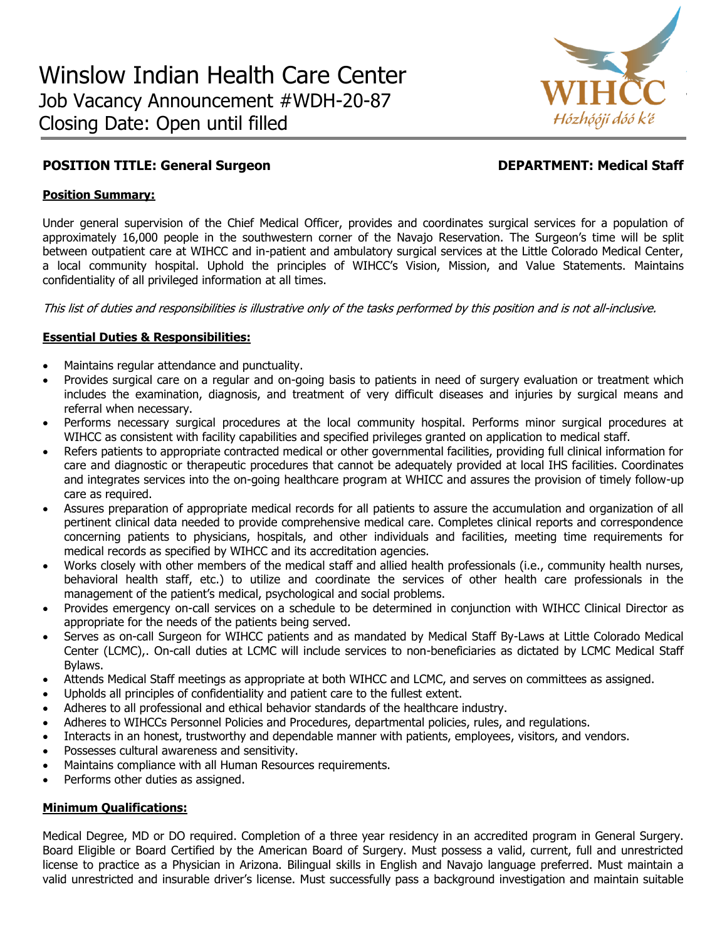

# **POSITION TITLE: General Surgeon DEPARTMENT: Medical Staff**

### **Position Summary:**

Under general supervision of the Chief Medical Officer, provides and coordinates surgical services for a population of approximately 16,000 people in the southwestern corner of the Navajo Reservation. The Surgeon's time will be split between outpatient care at WIHCC and in-patient and ambulatory surgical services at the Little Colorado Medical Center, a local community hospital. Uphold the principles of WIHCC's Vision, Mission, and Value Statements. Maintains confidentiality of all privileged information at all times.

This list of duties and responsibilities is illustrative only of the tasks performed by this position and is not all-inclusive.

## **Essential Duties & Responsibilities:**

- Maintains regular attendance and punctuality.
- Provides surgical care on a regular and on-going basis to patients in need of surgery evaluation or treatment which includes the examination, diagnosis, and treatment of very difficult diseases and injuries by surgical means and referral when necessary.
- Performs necessary surgical procedures at the local community hospital. Performs minor surgical procedures at WIHCC as consistent with facility capabilities and specified privileges granted on application to medical staff.
- Refers patients to appropriate contracted medical or other governmental facilities, providing full clinical information for care and diagnostic or therapeutic procedures that cannot be adequately provided at local IHS facilities. Coordinates and integrates services into the on-going healthcare program at WHICC and assures the provision of timely follow-up care as required.
- Assures preparation of appropriate medical records for all patients to assure the accumulation and organization of all pertinent clinical data needed to provide comprehensive medical care. Completes clinical reports and correspondence concerning patients to physicians, hospitals, and other individuals and facilities, meeting time requirements for medical records as specified by WIHCC and its accreditation agencies.
- Works closely with other members of the medical staff and allied health professionals (i.e., community health nurses, behavioral health staff, etc.) to utilize and coordinate the services of other health care professionals in the management of the patient's medical, psychological and social problems.
- Provides emergency on-call services on a schedule to be determined in conjunction with WIHCC Clinical Director as appropriate for the needs of the patients being served.
- Serves as on-call Surgeon for WIHCC patients and as mandated by Medical Staff By-Laws at Little Colorado Medical Center (LCMC),. On-call duties at LCMC will include services to non-beneficiaries as dictated by LCMC Medical Staff Bylaws.
- Attends Medical Staff meetings as appropriate at both WIHCC and LCMC, and serves on committees as assigned.
- Upholds all principles of confidentiality and patient care to the fullest extent.
- Adheres to all professional and ethical behavior standards of the healthcare industry.
- Adheres to WIHCCs Personnel Policies and Procedures, departmental policies, rules, and regulations.
- Interacts in an honest, trustworthy and dependable manner with patients, employees, visitors, and vendors.
- Possesses cultural awareness and sensitivity.
- Maintains compliance with all Human Resources requirements.
- Performs other duties as assigned.

## **Minimum Qualifications:**

Medical Degree, MD or DO required. Completion of a three year residency in an accredited program in General Surgery. Board Eligible or Board Certified by the American Board of Surgery. Must possess a valid, current, full and unrestricted license to practice as a Physician in Arizona. Bilingual skills in English and Navajo language preferred. Must maintain a valid unrestricted and insurable driver's license. Must successfully pass a background investigation and maintain suitable